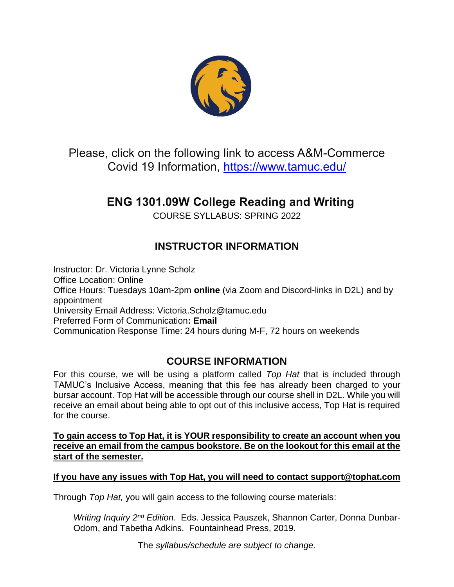

Please, click on the following link to access A&M-Commerce Covid 19 Information,<https://www.tamuc.edu/>

# **ENG 1301.09W College Reading and Writing**

COURSE SYLLABUS: SPRING 2022

# **INSTRUCTOR INFORMATION**

Instructor: Dr. Victoria Lynne Scholz Office Location: Online Office Hours: Tuesdays 10am-2pm **online** (via Zoom and Discord-links in D2L) and by appointment University Email Address: Victoria.Scholz@tamuc.edu Preferred Form of Communication**: Email** Communication Response Time: 24 hours during M-F, 72 hours on weekends

# **COURSE INFORMATION**

For this course, we will be using a platform called *Top Hat* that is included through TAMUC's Inclusive Access, meaning that this fee has already been charged to your bursar account. Top Hat will be accessible through our course shell in D2L. While you will receive an email about being able to opt out of this inclusive access, Top Hat is required for the course.

**To gain access to Top Hat, it is YOUR responsibility to create an account when you receive an email from the campus bookstore. Be on the lookout for this email at the start of the semester.**

#### **If you have any issues with Top Hat, you will need to contact support@tophat.com**

Through *Top Hat,* you will gain access to the following course materials:

*Writing Inquiry 2nd Edition*. Eds. Jessica Pauszek, Shannon Carter, Donna Dunbar-Odom, and Tabetha Adkins. Fountainhead Press, 2019.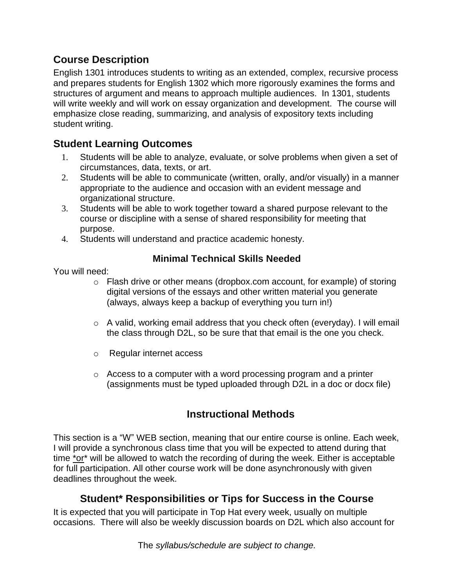# **Course Description**

English 1301 introduces students to writing as an extended, complex, recursive process and prepares students for English 1302 which more rigorously examines the forms and structures of argument and means to approach multiple audiences. In 1301, students will write weekly and will work on essay organization and development. The course will emphasize close reading, summarizing, and analysis of expository texts including student writing.

### **Student Learning Outcomes**

- 1. Students will be able to analyze, evaluate, or solve problems when given a set of circumstances, data, texts, or art.
- 2. Students will be able to communicate (written, orally, and/or visually) in a manner appropriate to the audience and occasion with an evident message and organizational structure.
- 3. Students will be able to work together toward a shared purpose relevant to the course or discipline with a sense of shared responsibility for meeting that purpose.
- 4. Students will understand and practice academic honesty.

### **Minimal Technical Skills Needed**

You will need:

- $\circ$  Flash drive or other means (dropbox.com account, for example) of storing digital versions of the essays and other written material you generate (always, always keep a backup of everything you turn in!)
- $\circ$  A valid, working email address that you check often (everyday). I will email the class through D2L, so be sure that that email is the one you check.
- o Regular internet access
- $\circ$  Access to a computer with a word processing program and a printer (assignments must be typed uploaded through D2L in a doc or docx file)

# **Instructional Methods**

This section is a "W" WEB section, meaning that our entire course is online. Each week, I will provide a synchronous class time that you will be expected to attend during that time \*or\* will be allowed to watch the recording of during the week. Either is acceptable for full participation. All other course work will be done asynchronously with given deadlines throughout the week.

# **Student\* Responsibilities or Tips for Success in the Course**

It is expected that you will participate in Top Hat every week, usually on multiple occasions. There will also be weekly discussion boards on D2L which also account for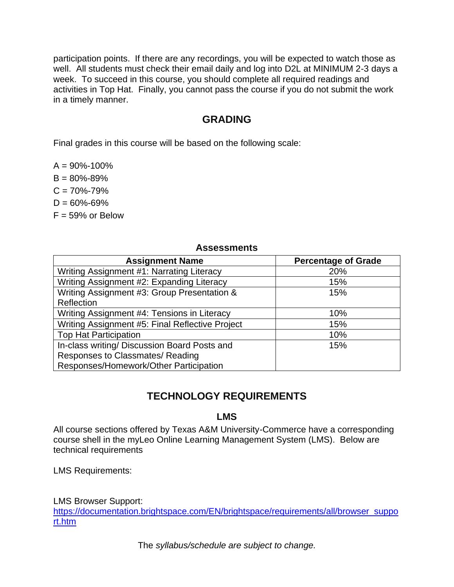participation points. If there are any recordings, you will be expected to watch those as well. All students must check their email daily and log into D2L at MINIMUM 2-3 days a week. To succeed in this course, you should complete all required readings and activities in Top Hat. Finally, you cannot pass the course if you do not submit the work in a timely manner.

# **GRADING**

Final grades in this course will be based on the following scale:

 $A = 90\% - 100\%$ 

 $B = 80\% - 89\%$ 

 $C = 70\% - 79\%$ 

 $D = 60\% - 69\%$ 

 $F = 59\%$  or Below

#### **Assessments**

| <b>Assignment Name</b>                          | <b>Percentage of Grade</b> |
|-------------------------------------------------|----------------------------|
| Writing Assignment #1: Narrating Literacy       | 20%                        |
| Writing Assignment #2: Expanding Literacy       | 15%                        |
| Writing Assignment #3: Group Presentation &     | 15%                        |
| Reflection                                      |                            |
| Writing Assignment #4: Tensions in Literacy     | 10%                        |
| Writing Assignment #5: Final Reflective Project | 15%                        |
| <b>Top Hat Participation</b>                    | 10%                        |
| In-class writing/ Discussion Board Posts and    | 15%                        |
| Responses to Classmates/Reading                 |                            |
| Responses/Homework/Other Participation          |                            |

# **TECHNOLOGY REQUIREMENTS**

### **LMS**

All course sections offered by Texas A&M University-Commerce have a corresponding course shell in the myLeo Online Learning Management System (LMS). Below are technical requirements

LMS Requirements:

LMS Browser Support:

[https://documentation.brightspace.com/EN/brightspace/requirements/all/browser\\_suppo](https://documentation.brightspace.com/EN/brightspace/requirements/all/browser_support.htm) [rt.htm](https://documentation.brightspace.com/EN/brightspace/requirements/all/browser_support.htm)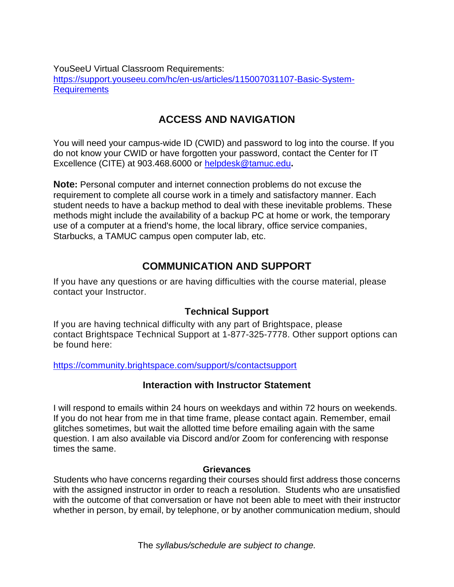YouSeeU Virtual Classroom Requirements: [https://support.youseeu.com/hc/en-us/articles/115007031107-Basic-System-](https://support.youseeu.com/hc/en-us/articles/115007031107-Basic-System-Requirements)**[Requirements](https://support.youseeu.com/hc/en-us/articles/115007031107-Basic-System-Requirements)** 

# **ACCESS AND NAVIGATION**

You will need your campus-wide ID (CWID) and password to log into the course. If you do not know your CWID or have forgotten your password, contact the Center for IT Excellence (CITE) at 903.468.6000 or [helpdesk@tamuc.edu](mailto:helpdesk@tamuc.edu)**.**

**Note:** Personal computer and internet connection problems do not excuse the requirement to complete all course work in a timely and satisfactory manner. Each student needs to have a backup method to deal with these inevitable problems. These methods might include the availability of a backup PC at home or work, the temporary use of a computer at a friend's home, the local library, office service companies, Starbucks, a TAMUC campus open computer lab, etc.

### **COMMUNICATION AND SUPPORT**

If you have any questions or are having difficulties with the course material, please contact your Instructor.

### **Technical Support**

If you are having technical difficulty with any part of Brightspace, please contact Brightspace Technical Support at 1-877-325-7778. Other support options can be found here:

<https://community.brightspace.com/support/s/contactsupport>

#### **Interaction with Instructor Statement**

I will respond to emails within 24 hours on weekdays and within 72 hours on weekends. If you do not hear from me in that time frame, please contact again. Remember, email glitches sometimes, but wait the allotted time before emailing again with the same question. I am also available via Discord and/or Zoom for conferencing with response times the same.

#### **Grievances**

Students who have concerns regarding their courses should first address those concerns with the assigned instructor in order to reach a resolution. Students who are unsatisfied with the outcome of that conversation or have not been able to meet with their instructor whether in person, by email, by telephone, or by another communication medium, should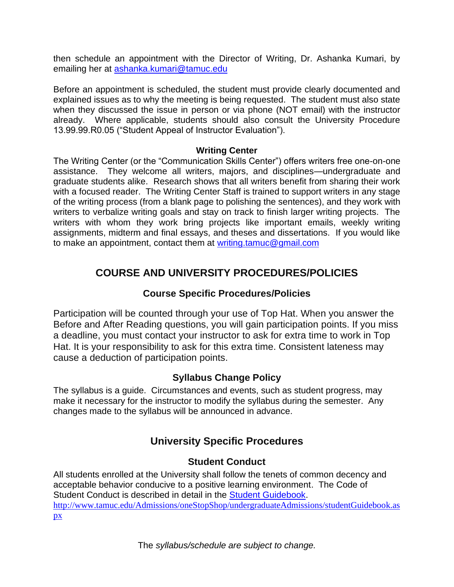then schedule an appointment with the Director of Writing, Dr. Ashanka Kumari, by emailing her at [ashanka.kumari@tamuc.edu](mailto:ashanka.kumari@tamuc.edu)

Before an appointment is scheduled, the student must provide clearly documented and explained issues as to why the meeting is being requested. The student must also state when they discussed the issue in person or via phone (NOT email) with the instructor already. Where applicable, students should also consult the University Procedure 13.99.99.R0.05 ("Student Appeal of Instructor Evaluation").

#### **Writing Center**

The Writing Center (or the "Communication Skills Center") offers writers free one-on-one assistance. They welcome all writers, majors, and disciplines—undergraduate and graduate students alike. Research shows that all writers benefit from sharing their work with a focused reader. The Writing Center Staff is trained to support writers in any stage of the writing process (from a blank page to polishing the sentences), and they work with writers to verbalize writing goals and stay on track to finish larger writing projects. The writers with whom they work bring projects like important emails, weekly writing assignments, midterm and final essays, and theses and dissertations. If you would like to make an appointment, contact them at [writing.tamuc@gmail.com](mailto:writing.tamuc@gmail.com)

### **COURSE AND UNIVERSITY PROCEDURES/POLICIES**

### **Course Specific Procedures/Policies**

Participation will be counted through your use of Top Hat. When you answer the Before and After Reading questions, you will gain participation points. If you miss a deadline, you must contact your instructor to ask for extra time to work in Top Hat. It is your responsibility to ask for this extra time. Consistent lateness may cause a deduction of participation points.

### **Syllabus Change Policy**

The syllabus is a guide. Circumstances and events, such as student progress, may make it necessary for the instructor to modify the syllabus during the semester. Any changes made to the syllabus will be announced in advance.

# **University Specific Procedures**

### **Student Conduct**

All students enrolled at the University shall follow the tenets of common decency and acceptable behavior conducive to a positive learning environment. The Code of Student Conduct is described in detail in the [Student Guidebook.](http://www.tamuc.edu/Admissions/oneStopShop/undergraduateAdmissions/studentGuidebook.aspx) [http://www.tamuc.edu/Admissions/oneStopShop/undergraduateAdmissions/studentGuidebook.as](http://www.tamuc.edu/Admissions/oneStopShop/undergraduateAdmissions/studentGuidebook.aspx) [px](http://www.tamuc.edu/Admissions/oneStopShop/undergraduateAdmissions/studentGuidebook.aspx)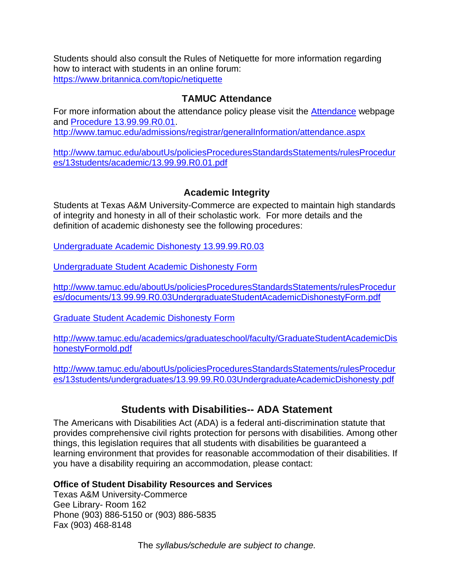Students should also consult the Rules of Netiquette for more information regarding how to interact with students in an online forum: <https://www.britannica.com/topic/netiquette>

### **TAMUC Attendance**

For more information about the attendance policy please visit the [Attendance](http://www.tamuc.edu/admissions/registrar/generalInformation/attendance.aspx) webpage and [Procedure 13.99.99.R0.01.](http://www.tamuc.edu/aboutUs/policiesProceduresStandardsStatements/rulesProcedures/13students/academic/13.99.99.R0.01.pdf) <http://www.tamuc.edu/admissions/registrar/generalInformation/attendance.aspx>

[http://www.tamuc.edu/aboutUs/policiesProceduresStandardsStatements/rulesProcedur](http://www.tamuc.edu/aboutUs/policiesProceduresStandardsStatements/rulesProcedures/13students/academic/13.99.99.R0.01.pdf) [es/13students/academic/13.99.99.R0.01.pdf](http://www.tamuc.edu/aboutUs/policiesProceduresStandardsStatements/rulesProcedures/13students/academic/13.99.99.R0.01.pdf)

### **Academic Integrity**

Students at Texas A&M University-Commerce are expected to maintain high standards of integrity and honesty in all of their scholastic work. For more details and the definition of academic dishonesty see the following procedures:

[Undergraduate Academic Dishonesty 13.99.99.R0.03](http://www.tamuc.edu/aboutUs/policiesProceduresStandardsStatements/rulesProcedures/13students/undergraduates/13.99.99.R0.03UndergraduateAcademicDishonesty.pdf)

[Undergraduate Student Academic Dishonesty](http://www.tamuc.edu/aboutUs/policiesProceduresStandardsStatements/rulesProcedures/documents/13.99.99.R0.03UndergraduateStudentAcademicDishonestyForm.pdf) Form

[http://www.tamuc.edu/aboutUs/policiesProceduresStandardsStatements/rulesProcedur](http://www.tamuc.edu/aboutUs/policiesProceduresStandardsStatements/rulesProcedures/documents/13.99.99.R0.03UndergraduateStudentAcademicDishonestyForm.pdf) [es/documents/13.99.99.R0.03UndergraduateStudentAcademicDishonestyForm.pdf](http://www.tamuc.edu/aboutUs/policiesProceduresStandardsStatements/rulesProcedures/documents/13.99.99.R0.03UndergraduateStudentAcademicDishonestyForm.pdf)

[Graduate Student Academic Dishonesty Form](http://www.tamuc.edu/academics/graduateschool/faculty/GraduateStudentAcademicDishonestyFormold.pdf)

[http://www.tamuc.edu/academics/graduateschool/faculty/GraduateStudentAcademicDis](http://www.tamuc.edu/academics/graduateschool/faculty/GraduateStudentAcademicDishonestyFormold.pdf) [honestyFormold.pdf](http://www.tamuc.edu/academics/graduateschool/faculty/GraduateStudentAcademicDishonestyFormold.pdf)

[http://www.tamuc.edu/aboutUs/policiesProceduresStandardsStatements/rulesProcedur](http://www.tamuc.edu/aboutUs/policiesProceduresStandardsStatements/rulesProcedures/13students/undergraduates/13.99.99.R0.03UndergraduateAcademicDishonesty.pdf) [es/13students/undergraduates/13.99.99.R0.03UndergraduateAcademicDishonesty.pdf](http://www.tamuc.edu/aboutUs/policiesProceduresStandardsStatements/rulesProcedures/13students/undergraduates/13.99.99.R0.03UndergraduateAcademicDishonesty.pdf)

# **Students with Disabilities-- ADA Statement**

The Americans with Disabilities Act (ADA) is a federal anti-discrimination statute that provides comprehensive civil rights protection for persons with disabilities. Among other things, this legislation requires that all students with disabilities be guaranteed a learning environment that provides for reasonable accommodation of their disabilities. If you have a disability requiring an accommodation, please contact:

#### **Office of Student Disability Resources and Services**

Texas A&M University-Commerce Gee Library- Room 162 Phone (903) 886-5150 or (903) 886-5835 Fax (903) 468-8148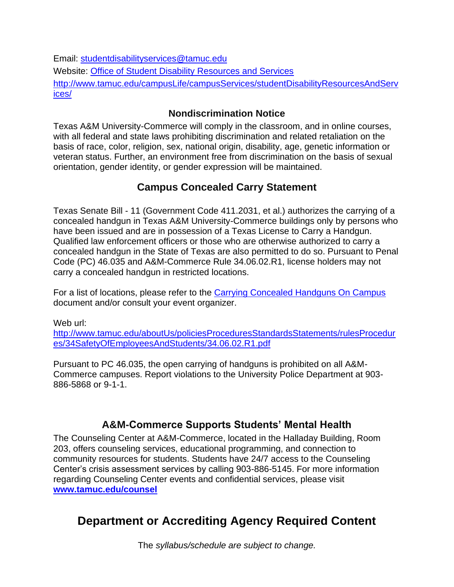Email: [studentdisabilityservices@tamuc.edu](mailto:studentdisabilityservices@tamuc.edu)

Website: [Office of Student Disability Resources and Services](http://www.tamuc.edu/campusLife/campusServices/studentDisabilityResourcesAndServices/)

[http://www.tamuc.edu/campusLife/campusServices/studentDisabilityResourcesAndServ](http://www.tamuc.edu/campusLife/campusServices/studentDisabilityResourcesAndServices/) [ices/](http://www.tamuc.edu/campusLife/campusServices/studentDisabilityResourcesAndServices/)

### **Nondiscrimination Notice**

Texas A&M University-Commerce will comply in the classroom, and in online courses, with all federal and state laws prohibiting discrimination and related retaliation on the basis of race, color, religion, sex, national origin, disability, age, genetic information or veteran status. Further, an environment free from discrimination on the basis of sexual orientation, gender identity, or gender expression will be maintained.

# **Campus Concealed Carry Statement**

Texas Senate Bill - 11 (Government Code 411.2031, et al.) authorizes the carrying of a concealed handgun in Texas A&M University-Commerce buildings only by persons who have been issued and are in possession of a Texas License to Carry a Handgun. Qualified law enforcement officers or those who are otherwise authorized to carry a concealed handgun in the State of Texas are also permitted to do so. Pursuant to Penal Code (PC) 46.035 and A&M-Commerce Rule 34.06.02.R1, license holders may not carry a concealed handgun in restricted locations.

For a list of locations, please refer to the [Carrying Concealed Handguns On Campus](http://www.tamuc.edu/aboutUs/policiesProceduresStandardsStatements/rulesProcedures/34SafetyOfEmployeesAndStudents/34.06.02.R1.pdf) document and/or consult your event organizer.

Web url: [http://www.tamuc.edu/aboutUs/policiesProceduresStandardsStatements/rulesProcedur](http://www.tamuc.edu/aboutUs/policiesProceduresStandardsStatements/rulesProcedures/34SafetyOfEmployeesAndStudents/34.06.02.R1.pdf) [es/34SafetyOfEmployeesAndStudents/34.06.02.R1.pdf](http://www.tamuc.edu/aboutUs/policiesProceduresStandardsStatements/rulesProcedures/34SafetyOfEmployeesAndStudents/34.06.02.R1.pdf)

Pursuant to PC 46.035, the open carrying of handguns is prohibited on all A&M-Commerce campuses. Report violations to the University Police Department at 903- 886-5868 or 9-1-1.

# **A&M-Commerce Supports Students' Mental Health**

The Counseling Center at A&M-Commerce, located in the Halladay Building, Room 203, offers counseling services, educational programming, and connection to community resources for students. Students have 24/7 access to the Counseling Center's crisis assessment services by calling 903-886-5145. For more information regarding Counseling Center events and confidential services, please visit **[www.tamuc.edu/counsel](http://www.tamuc.edu/counsel)**

# **Department or Accrediting Agency Required Content**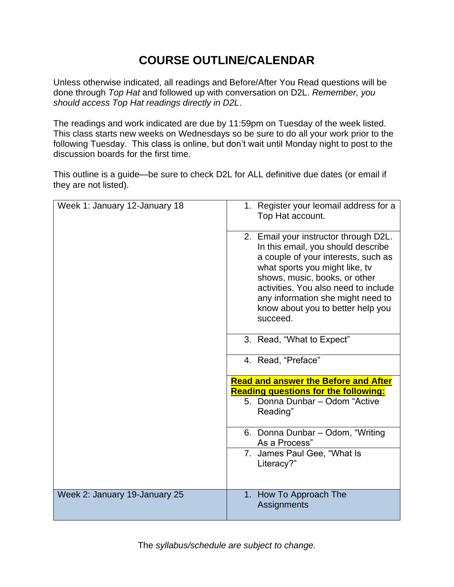# **COURSE OUTLINE/CALENDAR**

Unless otherwise indicated, all readings and Before/After You Read questions will be done through *Top Hat* and followed up with conversation on D2L. *Remember, you should access Top Hat readings directly in D2L*.

The readings and work indicated are due by 11:59pm on Tuesday of the week listed. This class starts new weeks on Wednesdays so be sure to do all your work prior to the following Tuesday. This class is online, but don't wait until Monday night to post to the discussion boards for the first time.

This outline is a guide—be sure to check D2L for ALL definitive due dates (or email if they are not listed).

| Week 1: January 12-January 18 | 1. Register your leomail address for a<br>Top Hat account.                                                                                                                                                                                                                                                          |
|-------------------------------|---------------------------------------------------------------------------------------------------------------------------------------------------------------------------------------------------------------------------------------------------------------------------------------------------------------------|
|                               | 2. Email your instructor through D2L.<br>In this email, you should describe<br>a couple of your interests, such as<br>what sports you might like, tv<br>shows, music, books, or other<br>activities. You also need to include<br>any information she might need to<br>know about you to better help you<br>succeed. |
|                               | 3. Read, "What to Expect"                                                                                                                                                                                                                                                                                           |
|                               | 4. Read, "Preface"                                                                                                                                                                                                                                                                                                  |
|                               | <b>Read and answer the Before and After</b>                                                                                                                                                                                                                                                                         |
|                               | <b>Reading questions for the following:</b>                                                                                                                                                                                                                                                                         |
|                               | 5. Donna Dunbar - Odom "Active<br>Reading"                                                                                                                                                                                                                                                                          |
|                               | 6. Donna Dunbar - Odom, "Writing<br>As a Process"                                                                                                                                                                                                                                                                   |
|                               | 7. James Paul Gee, "What Is<br>Literacy?"                                                                                                                                                                                                                                                                           |
| Week 2: January 19-January 25 | 1. How To Approach The<br>Assignments                                                                                                                                                                                                                                                                               |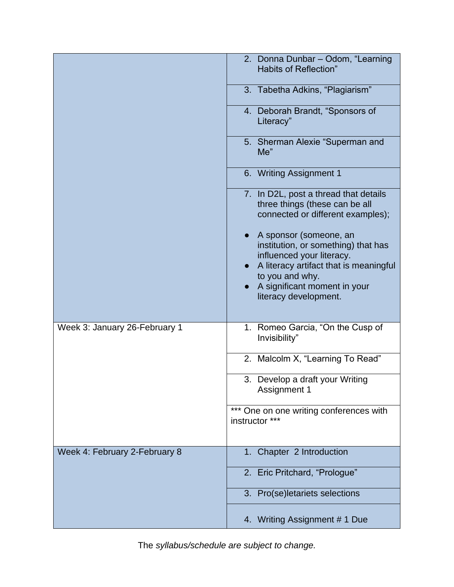|                               | 2. Donna Dunbar - Odom, "Learning<br><b>Habits of Reflection"</b>                                                                                       |
|-------------------------------|---------------------------------------------------------------------------------------------------------------------------------------------------------|
|                               | 3. Tabetha Adkins, "Plagiarism"                                                                                                                         |
|                               | 4. Deborah Brandt, "Sponsors of<br>Literacy"                                                                                                            |
|                               | 5. Sherman Alexie "Superman and<br>Me''                                                                                                                 |
|                               | 6. Writing Assignment 1                                                                                                                                 |
|                               | 7. In D2L, post a thread that details<br>three things (these can be all<br>connected or different examples);                                            |
|                               | A sponsor (someone, an<br>institution, or something) that has<br>influenced your literacy.<br>A literacy artifact that is meaningful<br>to you and why. |
|                               | A significant moment in your<br>literacy development.                                                                                                   |
| Week 3: January 26-February 1 | 1. Romeo Garcia, "On the Cusp of<br>Invisibility"                                                                                                       |
|                               | 2. Malcolm X, "Learning To Read"                                                                                                                        |
|                               | 3. Develop a draft your Writing<br><b>Assignment 1</b>                                                                                                  |
|                               | *** One on one writing conferences with<br>instructor ***                                                                                               |
| Week 4: February 2-February 8 | 1. Chapter 2 Introduction                                                                                                                               |
|                               | 2. Eric Pritchard, "Prologue"                                                                                                                           |
|                               | 3. Pro(se)letariets selections                                                                                                                          |
|                               | 4. Writing Assignment #1 Due                                                                                                                            |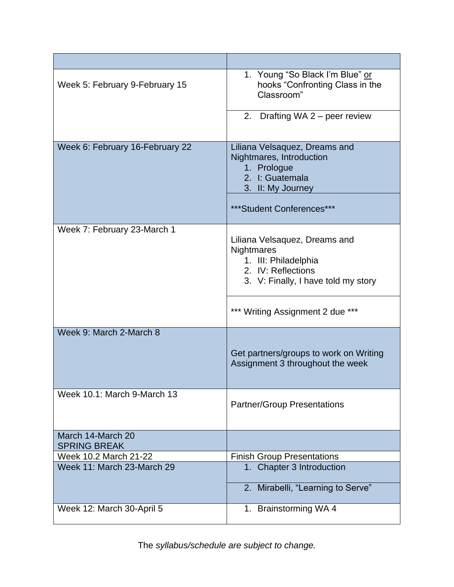| Week 5: February 9-February 15           | 1. Young "So Black I'm Blue" or<br>hooks "Confronting Class in the<br>Classroom"                                                 |
|------------------------------------------|----------------------------------------------------------------------------------------------------------------------------------|
|                                          | 2. Drafting WA 2 – peer review                                                                                                   |
| Week 6: February 16-February 22          | Liliana Velsaquez, Dreams and<br>Nightmares, Introduction<br>1. Prologue<br>2. I: Guatemala<br>3. II: My Journey                 |
|                                          | ***Student Conferences***                                                                                                        |
| Week 7: February 23-March 1              | Liliana Velsaquez, Dreams and<br>Nightmares<br>1. III: Philadelphia<br>2. IV: Reflections<br>3. V: Finally, I have told my story |
|                                          | *** Writing Assignment 2 due ***                                                                                                 |
| Week 9: March 2-March 8                  | Get partners/groups to work on Writing<br>Assignment 3 throughout the week                                                       |
| Week 10.1: March 9-March 13              | <b>Partner/Group Presentations</b>                                                                                               |
| March 14-March 20<br><b>SPRING BREAK</b> |                                                                                                                                  |
| Week 10.2 March 21-22                    | <b>Finish Group Presentations</b>                                                                                                |
| Week 11: March 23-March 29               | 1. Chapter 3 Introduction                                                                                                        |
|                                          | 2. Mirabelli, "Learning to Serve"                                                                                                |
| Week 12: March 30-April 5                | 1. Brainstorming WA 4                                                                                                            |